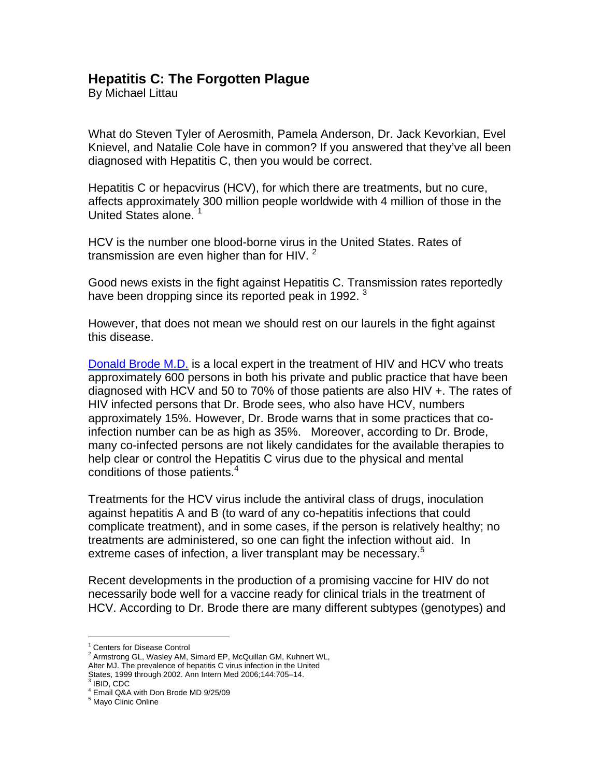## **Hepatitis C: The Forgotten Plague**

By Michael Littau

What do Steven Tyler of Aerosmith, Pamela Anderson, Dr. Jack Kevorkian, Evel Knievel, and Natalie Cole have in common? If you answered that they've all been diagnosed with Hepatitis C, then you would be correct.

Hepatitis C or hepacvirus (HCV), for which there are treatments, but no cure, affects approximately 300 million people worldwide with 4 million of those in the United States alone.

HCV is the number one blood-borne virus in the United States. Rates of transmission are even higher than for HIV.  $^2$ 

Good news exists in the fight against Hepatitis C. Transmission rates reportedly have been dropping since its reported peak in 1992.<sup>3</sup>

However, that does not mean we should rest on our laurels in the fight against this disease.

[Donald Brode M.D.](http://www.austinregionalclinic.com/find_a_doctor/specialty/search/brode/donald_brode/) is a local expert in the treatment of HIV and HCV who treats approximately 600 persons in both his private and public practice that have been diagnosed with HCV and 50 to 70% of those patients are also HIV +. The rates of HIV infected persons that Dr. Brode sees, who also have HCV, numbers approximately 15%. However, Dr. Brode warns that in some practices that coinfection number can be as high as 35%. Moreover, according to Dr. Brode, many co-infected persons are not likely candidates for the available therapies to help clear or control the Hepatitis C virus due to the physical and mental conditions of those patients.<sup>4</sup>

Treatments for the HCV virus include the antiviral class of drugs, inoculation against hepatitis A and B (to ward of any co-hepatitis infections that could complicate treatment), and in some cases, if the person is relatively healthy; no treatments are administered, so one can fight the infection without aid. In extreme cases of infection, a liver transplant may be necessary.<sup>5</sup>

Recent developments in the production of a promising vaccine for HIV do not necessarily bode well for a vaccine ready for clinical trials in the treatment of HCV. According to Dr. Brode there are many different subtypes (genotypes) and

 <sup>1</sup> Centers for Disease Control

<sup>&</sup>lt;sup>2</sup> Armstrong GL, Wasley AM, Simard EP, McQuillan GM, Kuhnert WL, Alter MJ. The prevalence of hepatitis C virus infection in the United States, 1999 through 2002. Ann Intern Med 2006;144:705–14.<br><sup>3</sup> IBID, CDC

<sup>4</sup> Email Q&A with Don Brode MD 9/25/09

<sup>&</sup>lt;sup>5</sup> Mayo Clinic Online